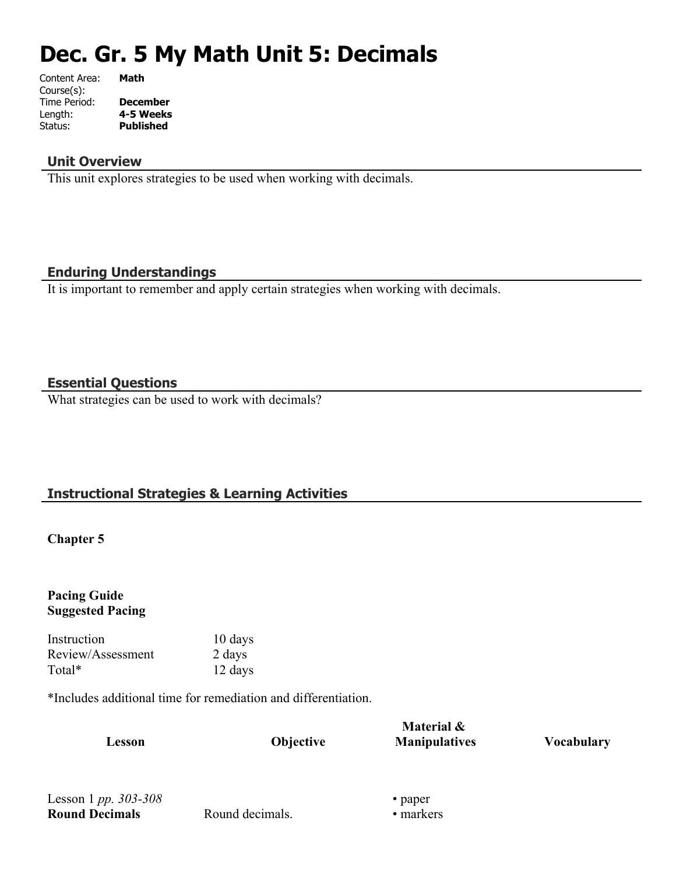# **Dec. Gr. 5 My Math Unit 5: Decimals**

| Content Area: | Math             |
|---------------|------------------|
| Course(s):    |                  |
| Time Period:  | <b>December</b>  |
| Length:       | 4-5 Weeks        |
| Status:       | <b>Published</b> |
|               |                  |

#### **Unit Overview**

This unit explores strategies to be used when working with decimals.

### **Enduring Understandings**

It is important to remember and apply certain strategies when working with decimals.

## **Essential Questions**

What strategies can be used to work with decimals?

## **Instructional Strategies & Learning Activities**

**Chapter 5**

#### **Pacing Guide Suggested Pacing**

Instruction 10 days Review/Assessment 2 days Total\* 12 days

\*Includes additional time for remediation and differentiation.

**Lesson Objective**

**Material & Manipulatives Vocabulary**

Lesson 1 *pp. 303-308* **Round Decimals** Round decimals.

• paper • markers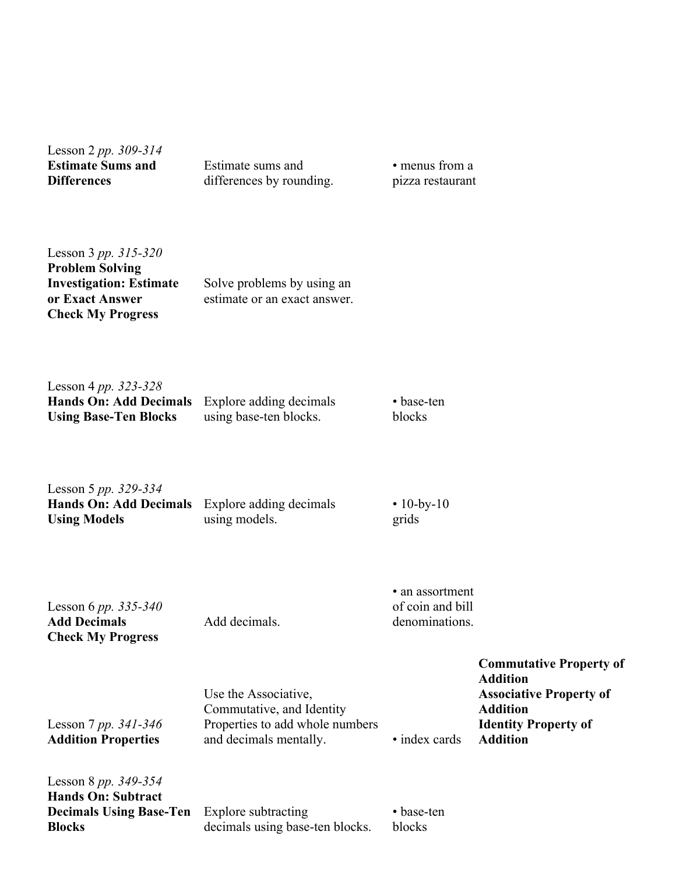| Lesson 3 pp. $315 - 320$<br><b>Problem Solving</b><br><b>Investigation: Estimate</b><br>or Exact Answer<br><b>Check My Progress</b> | Solve problems by using an<br>estimate or an exact answer.                                                     |                                                       |                                                                                                                                                          |
|-------------------------------------------------------------------------------------------------------------------------------------|----------------------------------------------------------------------------------------------------------------|-------------------------------------------------------|----------------------------------------------------------------------------------------------------------------------------------------------------------|
| Lesson 4 pp. 323-328<br><b>Hands On: Add Decimals</b><br><b>Using Base-Ten Blocks</b>                                               | Explore adding decimals<br>using base-ten blocks.                                                              | • base-ten<br>blocks                                  |                                                                                                                                                          |
| Lesson 5 pp. $329 - 334$<br><b>Hands On: Add Decimals</b><br><b>Using Models</b>                                                    | Explore adding decimals<br>using models.                                                                       | • $10$ -by- $10$<br>grids                             |                                                                                                                                                          |
| Lesson 6 pp. $335 - 340$<br><b>Add Decimals</b><br><b>Check My Progress</b>                                                         | Add decimals.                                                                                                  | • an assortment<br>of coin and bill<br>denominations. |                                                                                                                                                          |
| Lesson 7 pp. $341 - 346$<br><b>Addition Properties</b>                                                                              | Use the Associative,<br>Commutative, and Identity<br>Properties to add whole numbers<br>and decimals mentally. | • index cards                                         | <b>Commutative Property of</b><br><b>Addition</b><br><b>Associative Property of</b><br><b>Addition</b><br><b>Identity Property of</b><br><b>Addition</b> |
| Lesson 8 pp. 349-354<br><b>Hands On: Subtract</b><br><b>Decimals Using Base-Ten</b><br><b>Blocks</b>                                | Explore subtracting<br>decimals using base-ten blocks.                                                         | • base-ten<br>blocks                                  |                                                                                                                                                          |

• menus from a pizza restaurant

Lesson 2 *pp. 309-314* **Estimate Sums and**

Estimate sums and differences by rounding.

**Differences**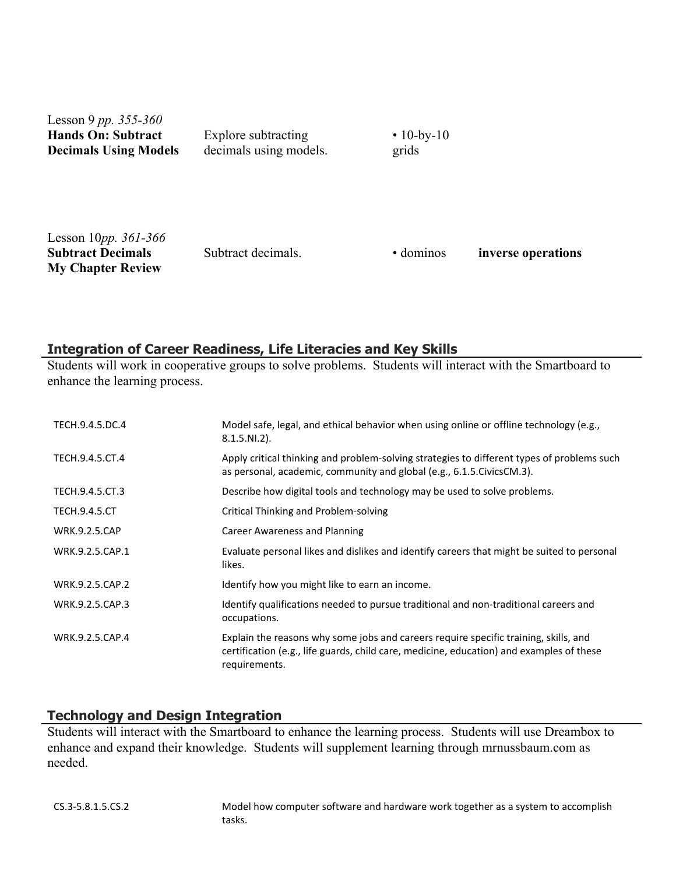| Lesson 9 pp. $355-360$       |
|------------------------------|
| <b>Hands On: Subtract</b>    |
| <b>Decimals Using Models</b> |

| Explore subtracting    |
|------------------------|
| decimals using models. |

• 10-by-10 grids

Lesson 10*pp. 361-366* **My Chapter Review**

**Subtract Decimals** Subtract decimals. • dominos **inverse operations**

## **Integration of Career Readiness, Life Literacies and Key Skills**

Students will work in cooperative groups to solve problems. Students will interact with the Smartboard to enhance the learning process.

| TECH.9.4.5.DC.4      | Model safe, legal, and ethical behavior when using online or offline technology (e.g.,<br>$8.1.5.NI.2$ ).                                                                                         |
|----------------------|---------------------------------------------------------------------------------------------------------------------------------------------------------------------------------------------------|
| TECH.9.4.5.CT.4      | Apply critical thinking and problem-solving strategies to different types of problems such<br>as personal, academic, community and global (e.g., 6.1.5. Civics CM.3).                             |
| TECH.9.4.5.CT.3      | Describe how digital tools and technology may be used to solve problems.                                                                                                                          |
| <b>TECH.9.4.5.CT</b> | Critical Thinking and Problem-solving                                                                                                                                                             |
| <b>WRK.9.2.5.CAP</b> | Career Awareness and Planning                                                                                                                                                                     |
| WRK.9.2.5.CAP.1      | Evaluate personal likes and dislikes and identify careers that might be suited to personal<br>likes.                                                                                              |
| WRK.9.2.5.CAP.2      | Identify how you might like to earn an income.                                                                                                                                                    |
| WRK.9.2.5.CAP.3      | Identify qualifications needed to pursue traditional and non-traditional careers and<br>occupations.                                                                                              |
| WRK.9.2.5.CAP.4      | Explain the reasons why some jobs and careers require specific training, skills, and<br>certification (e.g., life guards, child care, medicine, education) and examples of these<br>requirements. |

## **Technology and Design Integration**

Students will interact with the Smartboard to enhance the learning process. Students will use Dreambox to enhance and expand their knowledge. Students will supplement learning through mrnussbaum.com as needed.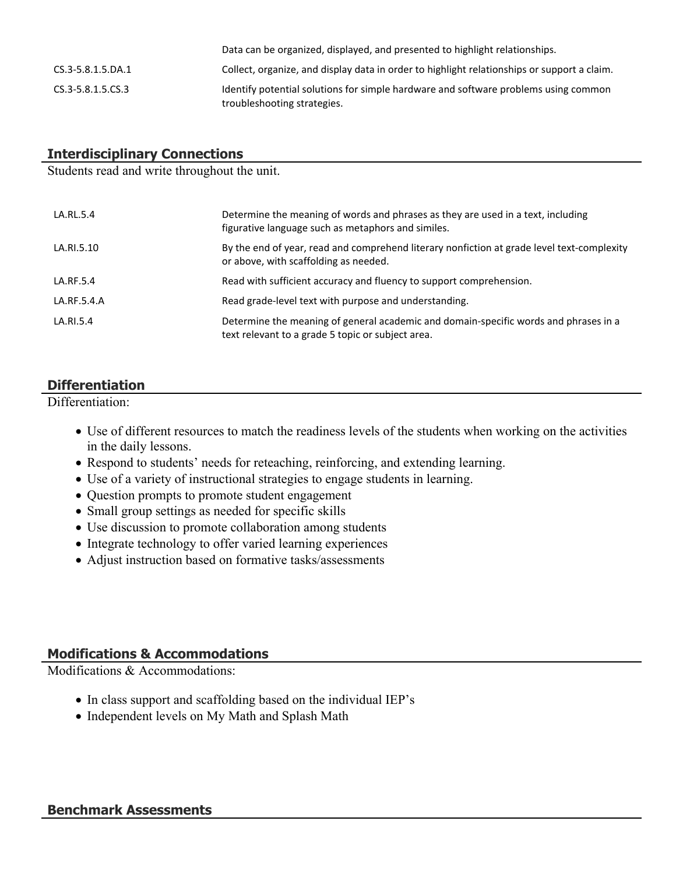|                       | Data can be organized, displayed, and presented to highlight relationships.                                        |
|-----------------------|--------------------------------------------------------------------------------------------------------------------|
| CS.3-5.8.1.5.DA.1     | Collect, organize, and display data in order to highlight relationships or support a claim.                        |
| $CS.3 - 5.8.1.5.CS.3$ | Identify potential solutions for simple hardware and software problems using common<br>troubleshooting strategies. |

## **Interdisciplinary Connections**

Students read and write throughout the unit.

| LA.RL.5.4   | Determine the meaning of words and phrases as they are used in a text, including<br>figurative language such as metaphors and similes.    |
|-------------|-------------------------------------------------------------------------------------------------------------------------------------------|
| LA.RI.5.10  | By the end of year, read and comprehend literary nonfiction at grade level text-complexity<br>or above, with scaffolding as needed.       |
| LA.RF.5.4   | Read with sufficient accuracy and fluency to support comprehension.                                                                       |
| LA.RF.5.4.A | Read grade-level text with purpose and understanding.                                                                                     |
| LA.RI.5.4   | Determine the meaning of general academic and domain-specific words and phrases in a<br>text relevant to a grade 5 topic or subject area. |

## **Differentiation**

Differentiation:

- Use of different resources to match the readiness levels of the students when working on the activities in the daily lessons.
- Respond to students' needs for reteaching, reinforcing, and extending learning.
- Use of a variety of instructional strategies to engage students in learning.
- Question prompts to promote student engagement
- Small group settings as needed for specific skills
- Use discussion to promote collaboration among students
- Integrate technology to offer varied learning experiences
- Adjust instruction based on formative tasks/assessments

#### **Modifications & Accommodations**

Modifications & Accommodations:

- In class support and scaffolding based on the individual IEP's
- Independent levels on My Math and Splash Math